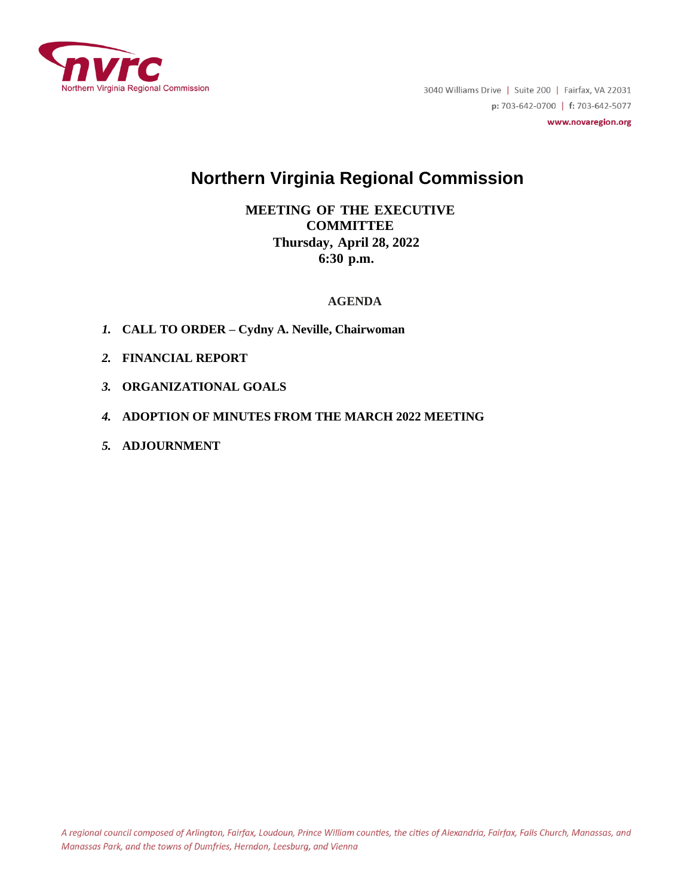

3040 Williams Drive | Suite 200 | Fairfax, VA 22031 p: 703-642-0700 | f: 703-642-5077

www.novaregion.org

# **Northern Virginia Regional Commission**

**MEETING OF THE EXECUTIVE COMMITTEE Thursday, April 28, 2022 6:30 p.m.**

## **AGENDA**

- *1.* **CALL TO ORDER – Cydny A. Neville, Chairwoman**
- *2.* **FINANCIAL REPORT**
- *3.* **ORGANIZATIONAL GOALS**
- *4.* **ADOPTION OF MINUTES FROM THE MARCH 2022 MEETING**
- *5.* **ADJOURNMENT**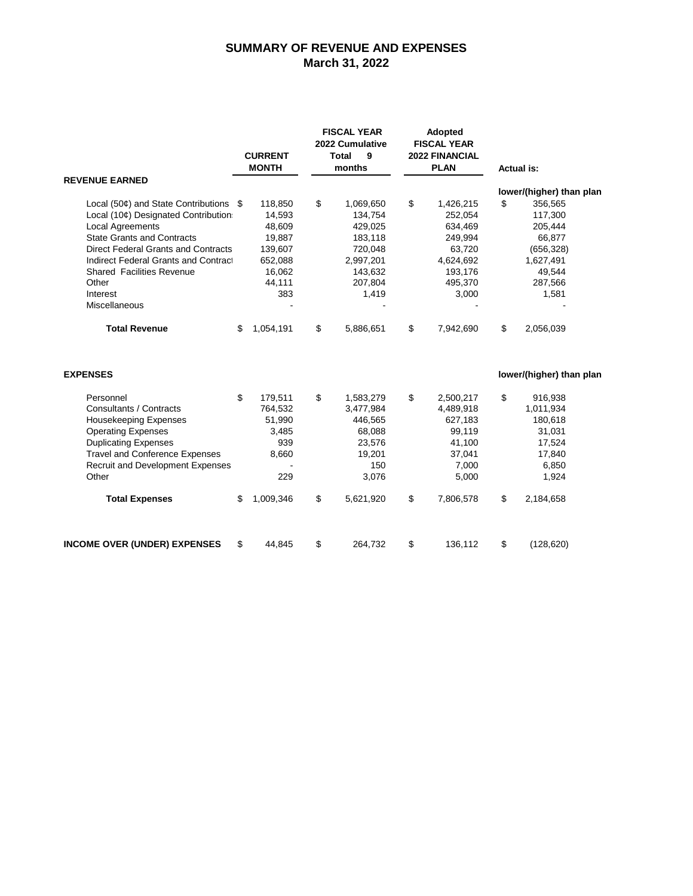## **SUMMARY OF REVENUE AND EXPENSES March 31, 2022**

| <b>REVENUE EARNED</b>                           |    | <b>CURRENT</b><br><b>MONTH</b> | <b>FISCAL YEAR</b><br>2022 Cumulative<br><b>Total</b><br>9<br>months |           | <b>Adopted</b><br><b>FISCAL YEAR</b><br><b>2022 FINANCIAL</b><br><b>PLAN</b> |           | <b>Actual is:</b> |                                     |
|-------------------------------------------------|----|--------------------------------|----------------------------------------------------------------------|-----------|------------------------------------------------------------------------------|-----------|-------------------|-------------------------------------|
|                                                 |    |                                |                                                                      |           |                                                                              |           |                   |                                     |
| Local (50 $\phi$ ) and State Contributions $\$$ |    | 118,850                        | \$                                                                   | 1,069,650 | \$                                                                           | 1,426,215 | \$                | lower/(higher) than plan<br>356,565 |
| Local (10¢) Designated Contribution             |    | 14,593                         |                                                                      | 134,754   |                                                                              | 252,054   |                   | 117,300                             |
| <b>Local Agreements</b>                         |    | 48,609                         |                                                                      | 429,025   |                                                                              | 634,469   |                   | 205,444                             |
| <b>State Grants and Contracts</b>               |    | 19,887                         |                                                                      | 183,118   |                                                                              | 249,994   |                   | 66,877                              |
| <b>Direct Federal Grants and Contracts</b>      |    | 139,607                        |                                                                      | 720,048   |                                                                              | 63,720    |                   | (656, 328)                          |
| Indirect Federal Grants and Contract            |    | 652,088                        |                                                                      | 2,997,201 |                                                                              | 4,624,692 |                   | 1,627,491                           |
| <b>Shared Facilities Revenue</b>                |    | 16,062                         |                                                                      | 143,632   |                                                                              | 193,176   |                   | 49,544                              |
| Other                                           |    | 44,111                         |                                                                      | 207,804   |                                                                              | 495,370   |                   | 287,566                             |
| Interest                                        |    | 383                            |                                                                      | 1,419     |                                                                              | 3,000     |                   | 1,581                               |
| Miscellaneous                                   |    |                                |                                                                      |           |                                                                              |           |                   |                                     |
| <b>Total Revenue</b>                            | \$ | 1,054,191                      | \$                                                                   | 5,886,651 | \$                                                                           | 7,942,690 | \$                | 2,056,039                           |
| <b>EXPENSES</b>                                 |    |                                |                                                                      |           |                                                                              |           |                   | lower/(higher) than plan            |
| Personnel                                       | \$ | 179,511                        | \$                                                                   | 1,583,279 | \$                                                                           | 2,500,217 | \$                | 916,938                             |
| Consultants / Contracts                         |    | 764,532                        |                                                                      | 3,477,984 |                                                                              | 4,489,918 |                   | 1,011,934                           |
| <b>Housekeeping Expenses</b>                    |    | 51,990                         |                                                                      | 446,565   |                                                                              | 627,183   |                   | 180,618                             |
| <b>Operating Expenses</b>                       |    | 3,485                          |                                                                      | 68,088    |                                                                              | 99,119    |                   | 31,031                              |
| <b>Duplicating Expenses</b>                     |    | 939                            |                                                                      | 23,576    |                                                                              | 41,100    |                   | 17,524                              |
| <b>Travel and Conference Expenses</b>           |    | 8,660                          |                                                                      | 19,201    |                                                                              | 37,041    |                   | 17,840                              |
| Recruit and Development Expenses                |    |                                |                                                                      | 150       |                                                                              | 7,000     |                   | 6,850                               |
| Other                                           |    | 229                            |                                                                      | 3,076     |                                                                              | 5,000     |                   | 1,924                               |
| <b>Total Expenses</b>                           | \$ | 1,009,346                      | \$                                                                   | 5,621,920 | \$                                                                           | 7,806,578 | \$                | 2,184,658                           |
| <b>INCOME OVER (UNDER) EXPENSES</b>             | \$ | 44,845                         | \$                                                                   | 264,732   | \$                                                                           | 136,112   | \$                | (128, 620)                          |